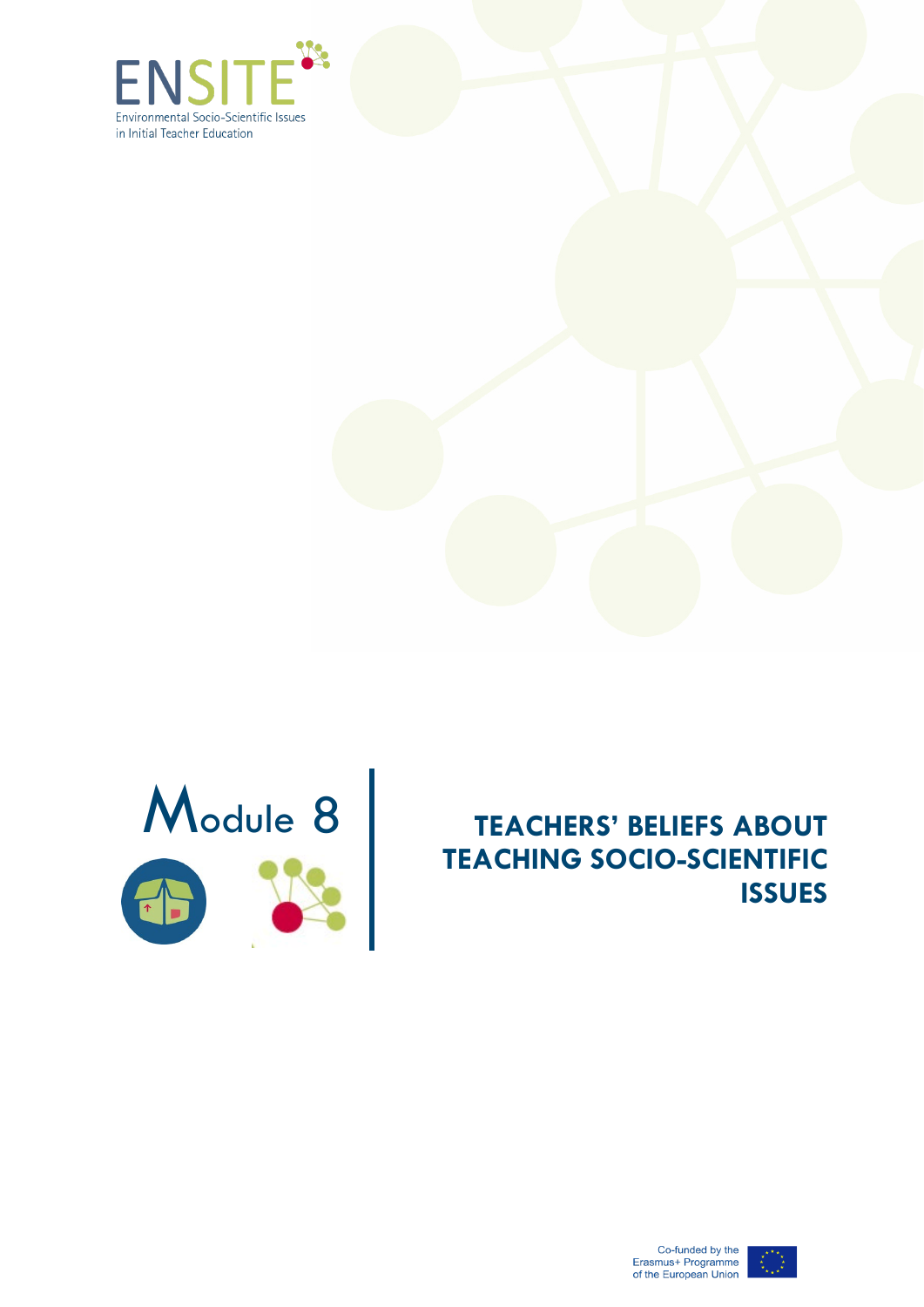





## Module 8 **TEACHERS' BELIEFS ABOUT**<br>TEACHING SOCIO-SCIENTIFIC **TEACHING SOCIO-SCIENTIFIC ISSUES**



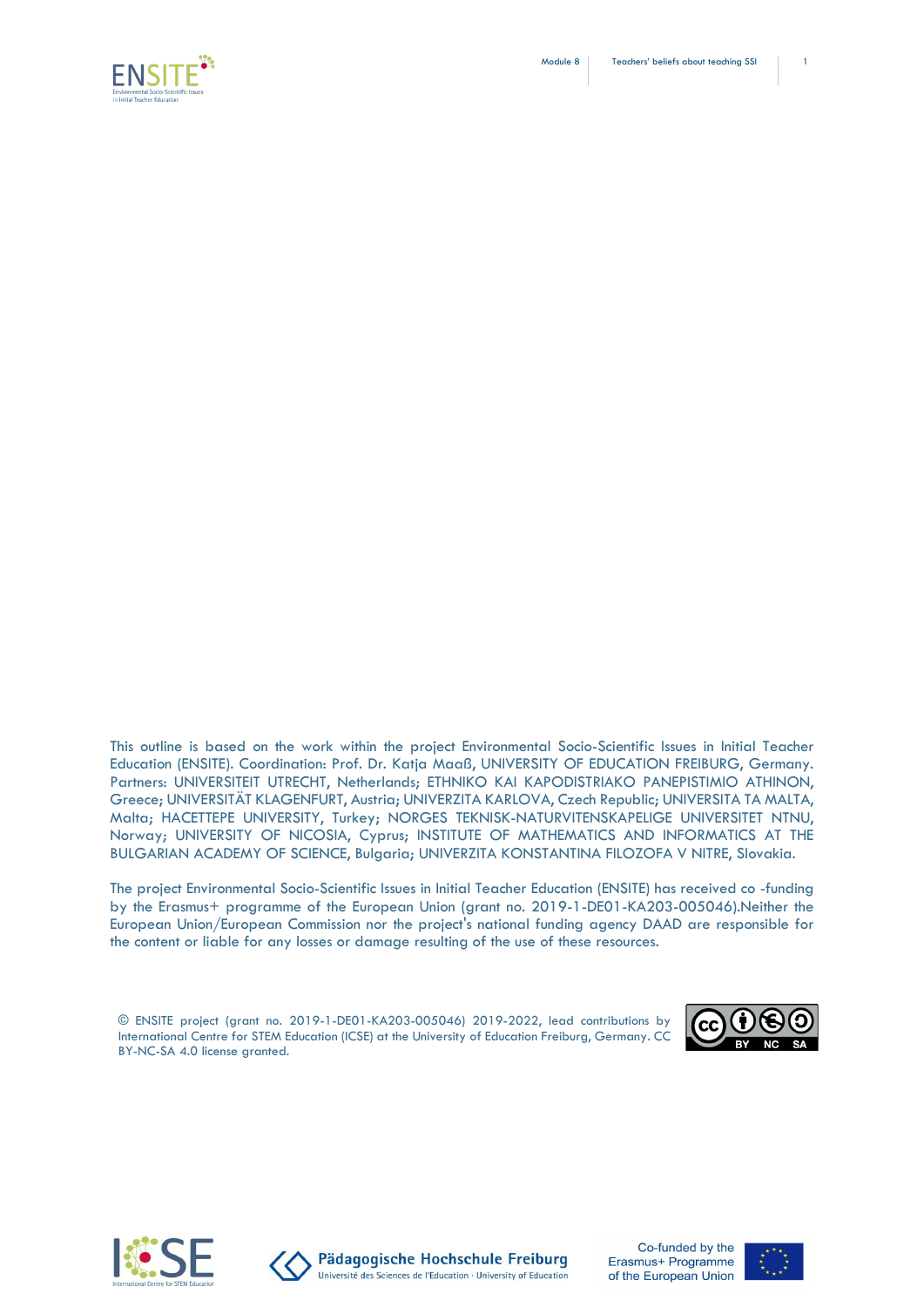



This outline is based on the work within the project Environmental Socio-Scientific Issues in Initial Teacher Education (ENSITE). Coordination: Prof. Dr. Katja Maaß, UNIVERSITY OF EDUCATION FREIBURG, Germany. Partners: UNIVERSITEIT UTRECHT, Netherlands; ETHNIKO KAI KAPODISTRIAKO PANEPISTIMIO ATHINON, Greece; UNIVERSITÄT KLAGENFURT, Austria; UNIVERZITA KARLOVA, Czech Republic; UNIVERSITA TA MALTA, Malta; HACETTEPE UNIVERSITY, Turkey; NORGES TEKNISK-NATURVITENSKAPELIGE UNIVERSITET NTNU, Norway; UNIVERSITY OF NICOSIA, Cyprus; INSTITUTE OF MATHEMATICS AND INFORMATICS AT THE BULGARIAN ACADEMY OF SCIENCE, Bulgaria; UNIVERZITA KONSTANTINA FILOZOFA V NITRE, Slovakia.

The project Environmental Socio-Scientific Issues in Initial Teacher Education (ENSITE) has received co -funding by the Erasmus+ programme of the European Union (grant no. 2019-1-DE01-KA203-005046).Neither the European Union/European Commission nor the project's national funding agency DAAD are responsible for the content or liable for any losses or damage resulting of the use of these resources.

© ENSITE project (grant no. 2019-1-DE01-KA203-005046) 2019-2022, lead contributions by International Centre for STEM Education (ICSE) at the University of Education Freiburg, Germany. CC BY-NC-SA 4.0 license granted.







Pädagogische Hochschule Freiburg Université des Sciences de l'Education · University of Education

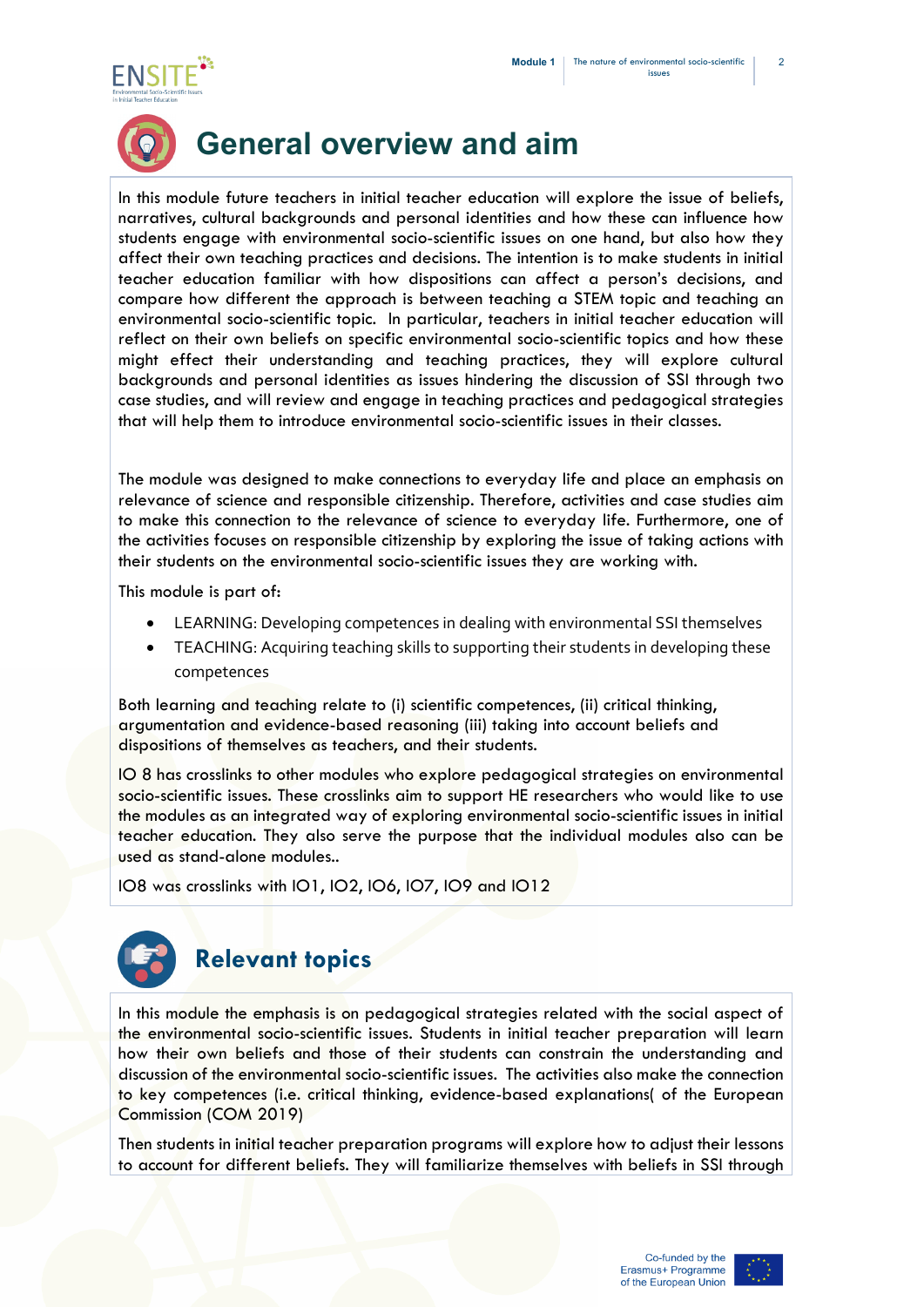2





## **General overview and aim**

In this module future teachers in initial teacher education will explore the issue of beliefs, narratives, cultural backgrounds and personal identities and how these can influence how students engage with environmental socio-scientific issues on one hand, but also how they affect their own teaching practices and decisions. The intention is to make students in initial teacher education familiar with how dispositions can affect a person's decisions, and compare how different the approach is between teaching a STEM topic and teaching an environmental socio-scientific topic. In particular, teachers in initial teacher education will reflect on their own beliefs on specific environmental socio-scientific topics and how these might effect their understanding and teaching practices, they will explore cultural backgrounds and personal identities as issues hindering the discussion of SSI through two case studies, and will review and engage in teaching practices and pedagogical strategies that will help them to introduce environmental socio-scientific issues in their classes.

The module was designed to make connections to everyday life and place an emphasis on relevance of science and responsible citizenship. Therefore, activities and case studies aim to make this connection to the relevance of science to everyday life. Furthermore, one of the activities focuses on responsible citizenship by exploring the issue of taking actions with their students on the environmental socio-scientific issues they are working with.

This module is part of:

- LEARNING: Developing competences in dealing with environmental SSI themselves
- TEACHING: Acquiring teaching skills to supporting their students in developing these competences

Both learning and teaching relate to (i) scientific competences, (ii) critical thinking, argumentation and evidence-based reasoning (iii) taking into account beliefs and dispositions of themselves as teachers, and their students.

IO 8 has crosslinks to other modules who explore pedagogical strategies on environmental socio-scientific issues. These crosslinks aim to support HE researchers who would like to use the modules as an integrated way of exploring environmental socio-scientific issues in initial teacher education. They also serve the purpose that the individual modules also can be used as stand-alone modules..

IO8 was crosslinks with IO1, IO2, IO6, IO7, IO9 and IO12



In this module the emphasis is on pedagogical strategies related with the social aspect of the environmental socio-scientific issues. Students in initial teacher preparation will learn how their own beliefs and those of their students can constrain the understanding and discussion of the environmental socio-scientific issues. The activities also make the connection to key competences (i.e. critical thinking, evidence-based explanations( of the European Commission (COM 2019)

Then students in initial teacher preparation programs will explore how to adjust their lessons to account for different beliefs. They will familiarize themselves with beliefs in SSI through

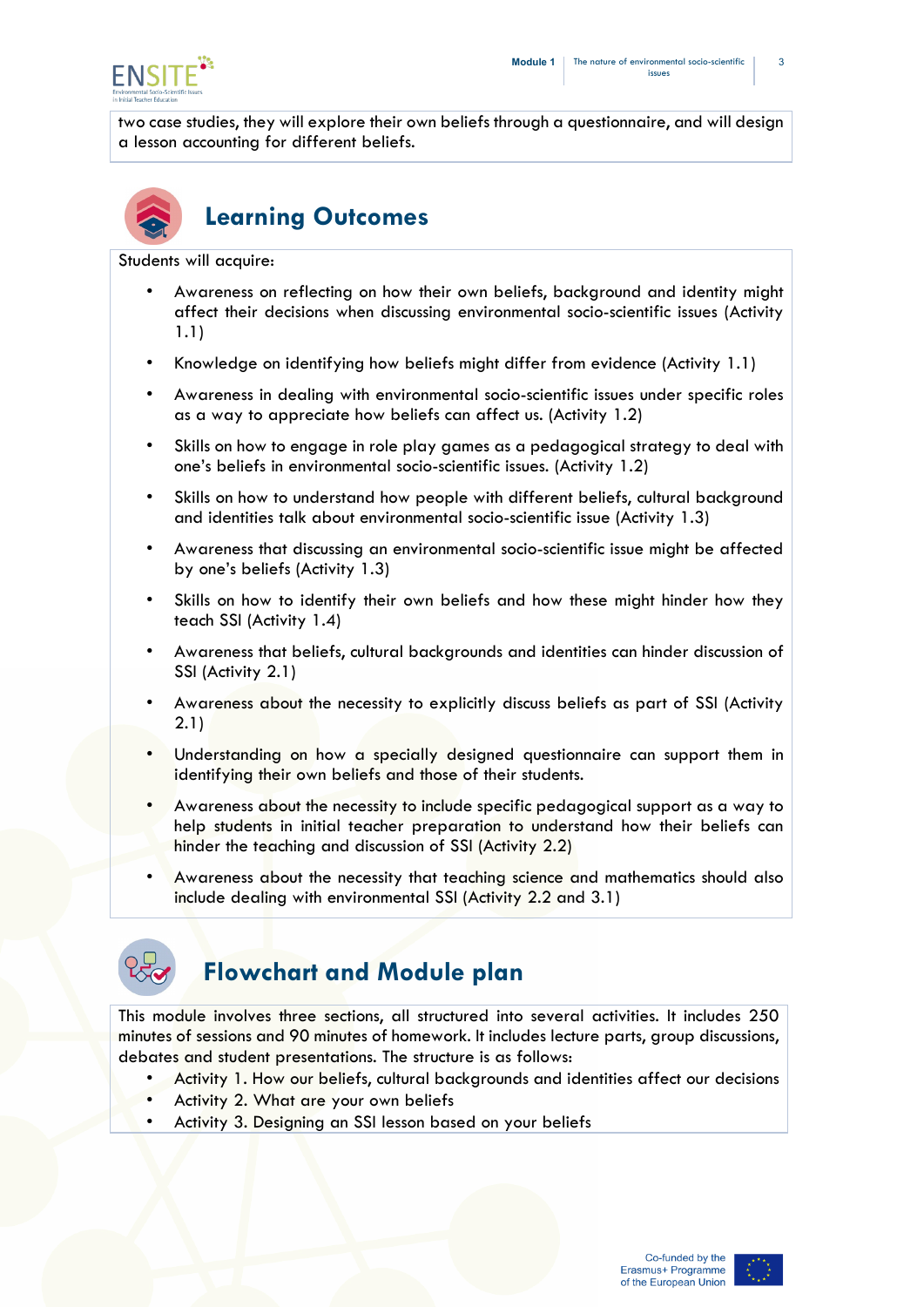

two case studies, they will explore their own beliefs through a questionnaire, and will design a lesson accounting for different beliefs.



## **Learning Outcomes**

Students will acquire:

- Awareness on reflecting on how their own beliefs, background and identity might affect their decisions when discussing environmental socio-scientific issues (Activity 1.1)
- Knowledge on identifying how beliefs might differ from evidence (Activity 1.1)
- Awareness in dealing with environmental socio-scientific issues under specific roles as a way to appreciate how beliefs can affect us. (Activity 1.2)
- Skills on how to engage in role play games as a pedagogical strategy to deal with one's beliefs in environmental socio-scientific issues. (Activity 1.2)
- Skills on how to understand how people with different beliefs, cultural background and identities talk about environmental socio-scientific issue (Activity 1.3)
- Awareness that discussing an environmental socio-scientific issue might be affected by one's beliefs (Activity 1.3)
- Skills on how to identify their own beliefs and how these might hinder how they teach SSI (Activity 1.4)
- Awareness that beliefs, cultural backgrounds and identities can hinder discussion of SSI (Activity 2.1)
- Awareness about the necessity to explicitly discuss beliefs as part of SSI (Activity 2.1)
- Understanding on how a specially designed questionnaire can support them in identifying their own beliefs and those of their students.
- Awareness about the necessity to include specific pedagogical support as a way to help students in initial teacher preparation to understand how their beliefs can hinder the teaching and discussion of SSI (Activity 2.2)
- Awareness about the necessity that teaching science and mathematics should also include dealing with environmental SSI (Activity 2.2 and 3.1)



### **Flowchart and Module plan**

This module involves three sections, all structured into several activities. It includes 250 minutes of sessions and 90 minutes of homework. It includes lecture parts, group discussions, debates and student presentations. The structure is as follows:

- Activity 1. How our beliefs, cultural backgrounds and identities affect our decisions
- Activity 2. What are your own beliefs
- Activity 3. Designing an SSI lesson based on your beliefs

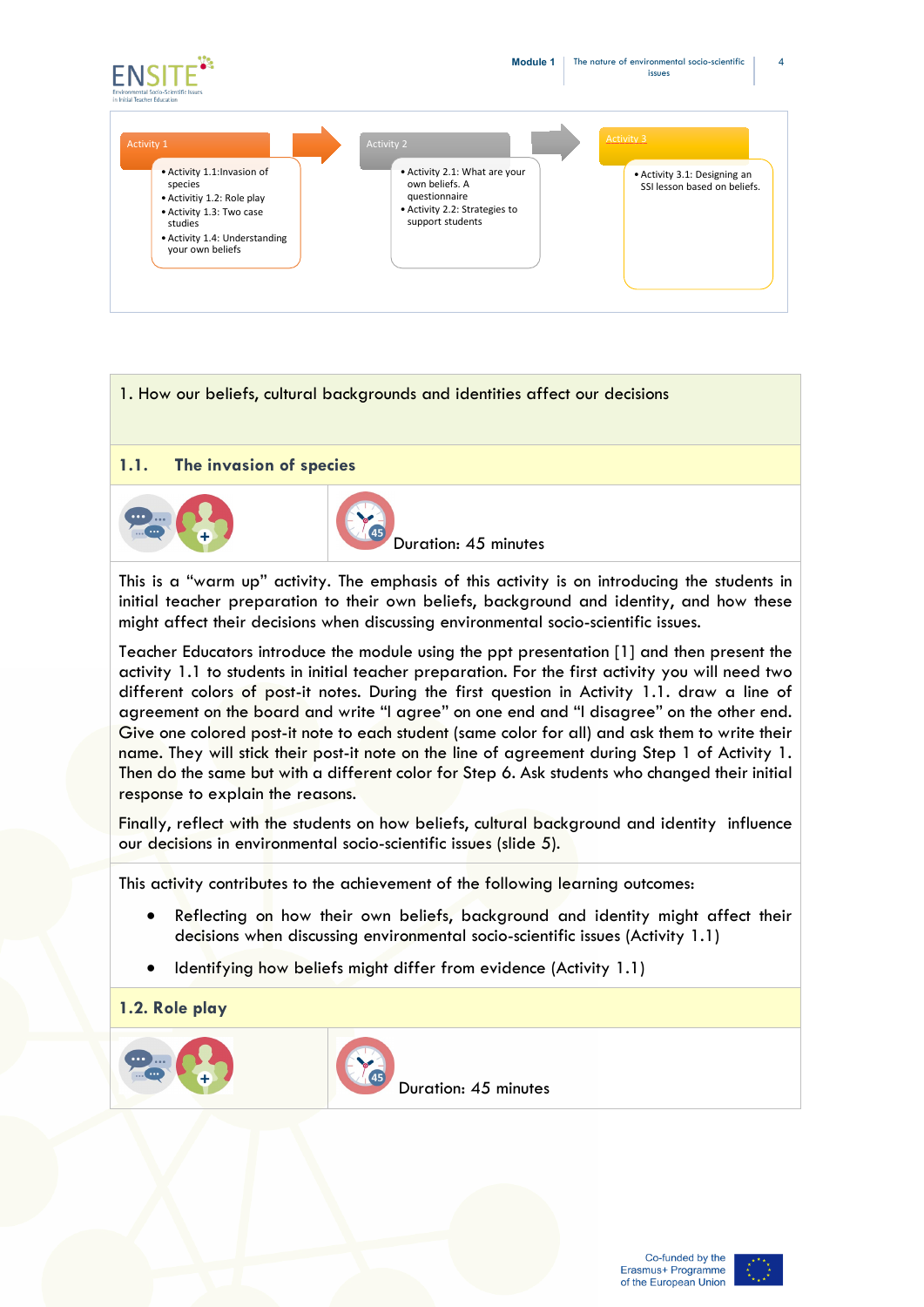

# 1. How our beliefs, cultural backgrounds and identities affect our decisions **1.1. The invasion of species** Duration: 45 minutes

This is a "warm up" activity. The emphasis of this activity is on introducing the students in initial teacher preparation to their own beliefs, background and identity, and how these might affect their decisions when discussing environmental socio-scientific issues.

Teacher Educators introduce the module using the ppt presentation [1] and then present the activity 1.1 to students in initial teacher preparation. For the first activity you will need two different colors of post-it notes. During the first question in Activity 1.1. draw a line of agreement on the board and write "I agree" on one end and "I disagree" on the other end. Give one colored post-it note to each student (same color for all) and ask them to write their name. They will stick their post-it note on the line of agreement during Step 1 of Activity 1. Then do the same but with a different color for Step 6. Ask students who changed their initial response to explain the reasons.

Finally, reflect with the students on how beliefs, cultural background and identity influence our decisions in environmental socio-scientific issues (slide 5).

This activity contributes to the achievement of the following learning outcomes:

- Reflecting on how their own beliefs, background and identity might affect their decisions when discussing environmental socio-scientific issues (Activity 1.1)
- Identifying how beliefs might differ from evidence (Activity 1.1)
- **1.2. Role play**



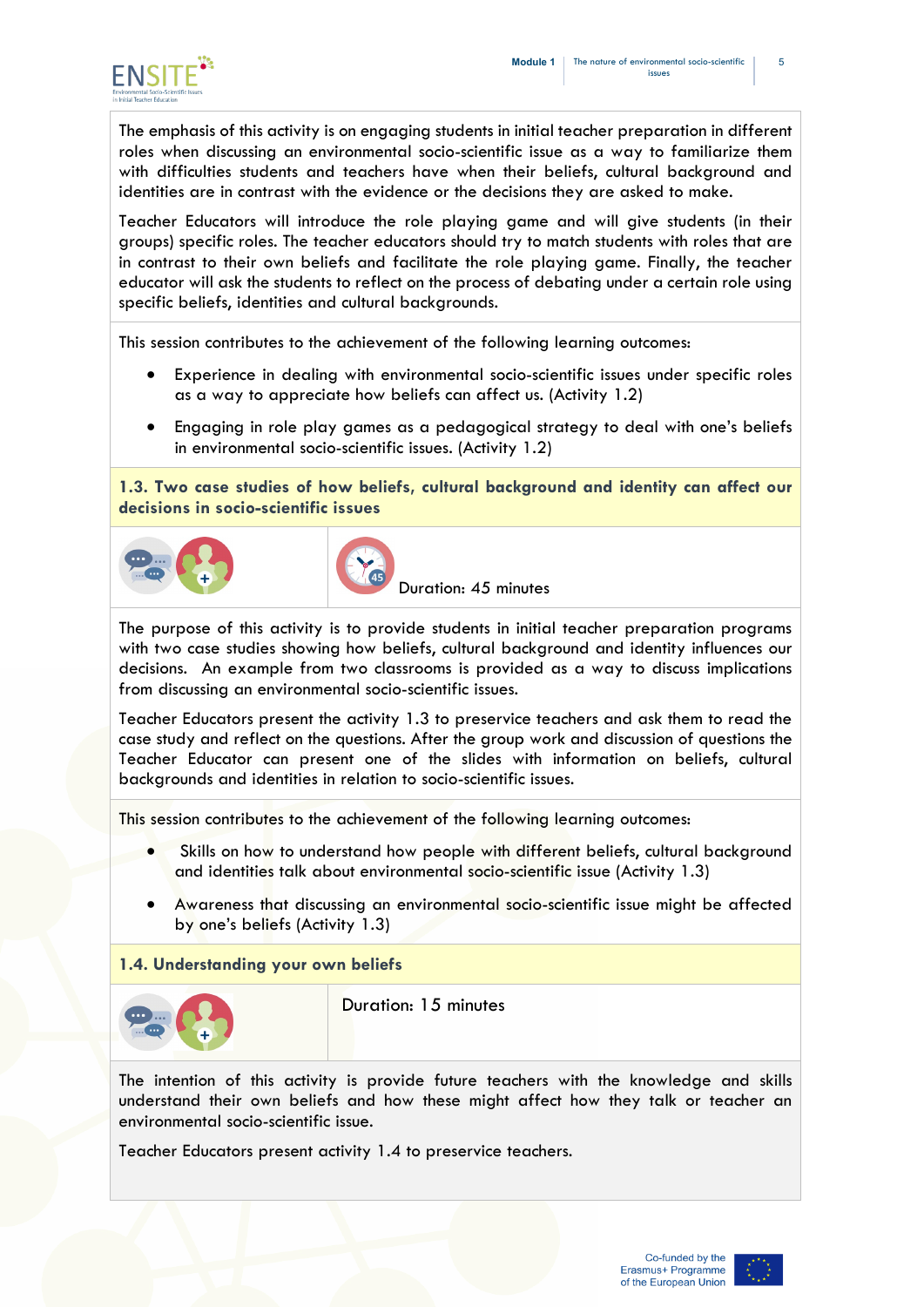

The emphasis of this activity is on engaging students in initial teacher preparation in different roles when discussing an environmental socio-scientific issue as a way to familiarize them with difficulties students and teachers have when their beliefs, cultural background and identities are in contrast with the evidence or the decisions they are asked to make.

Teacher Educators will introduce the role playing game and will give students (in their groups) specific roles. The teacher educators should try to match students with roles that are in contrast to their own beliefs and facilitate the role playing game. Finally, the teacher educator will ask the students to reflect on the process of debating under a certain role using specific beliefs, identities and cultural backgrounds.

This session contributes to the achievement of the following learning outcomes:

- Experience in dealing with environmental socio-scientific issues under specific roles as a way to appreciate how beliefs can affect us. (Activity 1.2)
- Engaging in role play games as a pedagogical strategy to deal with one's beliefs in environmental socio-scientific issues. (Activity 1.2)

**1.3. Two case studies of how beliefs, cultural background and identity can affect our decisions in socio-scientific issues**





Duration: 45 minutes

The purpose of this activity is to provide students in initial teacher preparation programs with two case studies showing how beliefs, cultural background and identity influences our decisions. An example from two classrooms is provided as a way to discuss implications from discussing an environmental socio-scientific issues.

Teacher Educators present the activity 1.3 to preservice teachers and ask them to read the case study and reflect on the questions. After the group work and discussion of questions the Teacher Educator can present one of the slides with information on beliefs, cultural backgrounds and identities in relation to socio-scientific issues.

This session contributes to the achievement of the following learning outcomes:

- Skills on how to understand how people with different beliefs, cultural background and identities talk about environmental socio-scientific issue (Activity 1.3)
- Awareness that discussing an environmental socio-scientific issue might be affected by one's beliefs (Activity 1.3)

### **1.4. Understanding your own beliefs**

| $\cdots$ |  |
|----------|--|
| $\cdots$ |  |
|          |  |

Duration: 15 minutes

The intention of this activity is provide future teachers with the knowledge and skills understand their own beliefs and how these might affect how they talk or teacher an environmental socio-scientific issue.

Teacher Educators present activity 1.4 to preservice teachers.

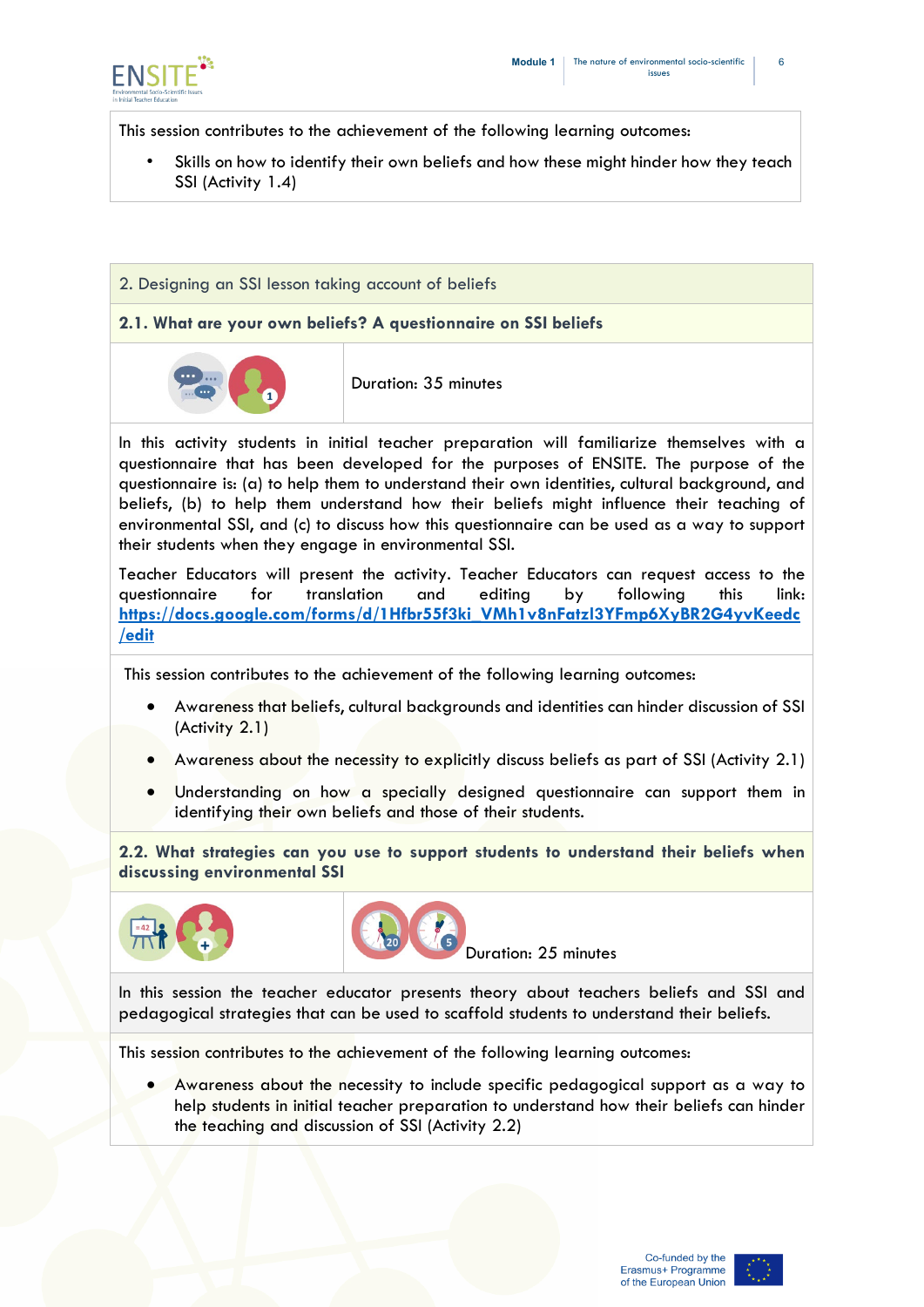

This session contributes to the achievement of the following learning outcomes:

Skills on how to identify their own beliefs and how these might hinder how they teach SSI (Activity 1.4)

### 2. Designing an SSI lesson taking account of beliefs

### **2.1. What are your own beliefs? A questionnaire on SSI beliefs**



Duration: 35 minutes

In this activity students in initial teacher preparation will familiarize themselves with a questionnaire that has been developed for the purposes of ENSITE. The purpose of the questionnaire is: (a) to help them to understand their own identities, cultural background, and beliefs, (b) to help them understand how their beliefs might influence their teaching of environmental SSI, and (c) to discuss how this questionnaire can be used as a way to support their students when they engage in environmental SSI.

Teacher Educators will present the activity. Teacher Educators can request access to the questionnaire for translation and editing by following this link: **[https://docs.google.com/forms/d/1Hfbr55f3ki\\_VMh1v8nFatzl3YFmp6XyBR2G4yvKeedc](https://docs.google.com/forms/d/1Hfbr55f3ki_VMh1v8nFatzl3YFmp6XyBR2G4yvKeedc/edit) [/edit](https://docs.google.com/forms/d/1Hfbr55f3ki_VMh1v8nFatzl3YFmp6XyBR2G4yvKeedc/edit)**

This session contributes to the achievement of the following learning outcomes:

- Awareness that beliefs, cultural backgrounds and identities can hinder discussion of SSI (Activity 2.1)
- Awareness about the necessity to explicitly discuss beliefs as part of SSI (Activity 2.1)
- Understanding on how a specially designed questionnaire can support them in identifying their own beliefs and those of their students.

**2.2. What strategies can you use to support students to understand their beliefs when discussing environmental SSI**





Duration: 25 minutes

In this session the teacher educator presents theory about teachers beliefs and SSI and pedagogical strategies that can be used to scaffold students to understand their beliefs.

This session contributes to the achievement of the following learning outcomes:

• Awareness about the necessity to include specific pedagogical support as a way to help students in initial teacher preparation to understand how their beliefs can hinder the teaching and discussion of SSI (Activity 2.2)

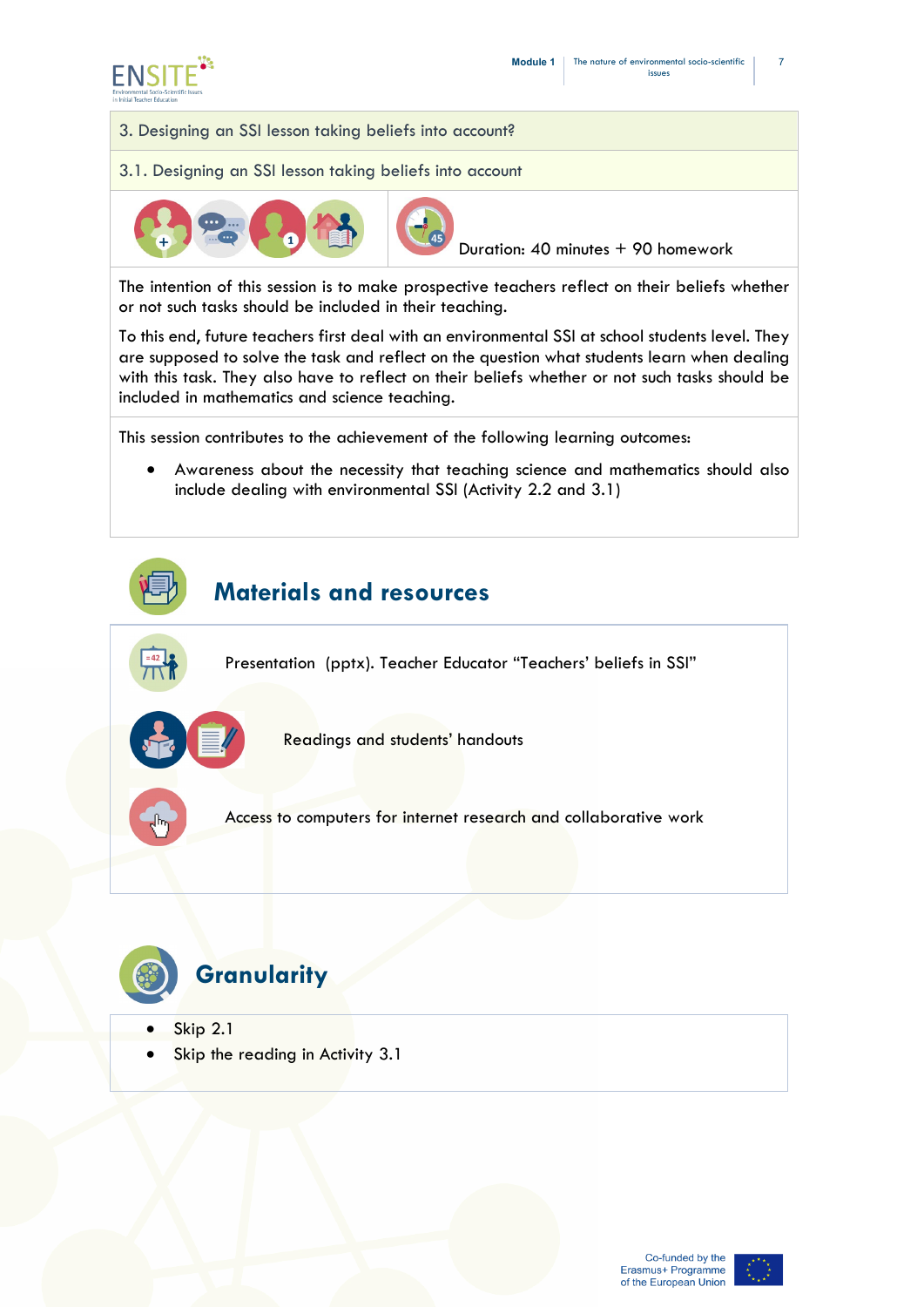



3.1. Designing an SSI lesson taking beliefs into account



Duration: 40 minutes + 90 homework

The intention of this session is to make prospective teachers reflect on their beliefs whether or not such tasks should be included in their teaching.

To this end, future teachers first deal with an environmental SSI at school students level. They are supposed to solve the task and reflect on the question what students learn when dealing with this task. They also have to reflect on their beliefs whether or not such tasks should be included in mathematics and science teaching.

This session contributes to the achievement of the following learning outcomes:

• Awareness about the necessity that teaching science and mathematics should also include dealing with environmental SSI (Activity 2.2 and 3.1)





- Skip 2.1
- Skip the reading in Activity 3.1

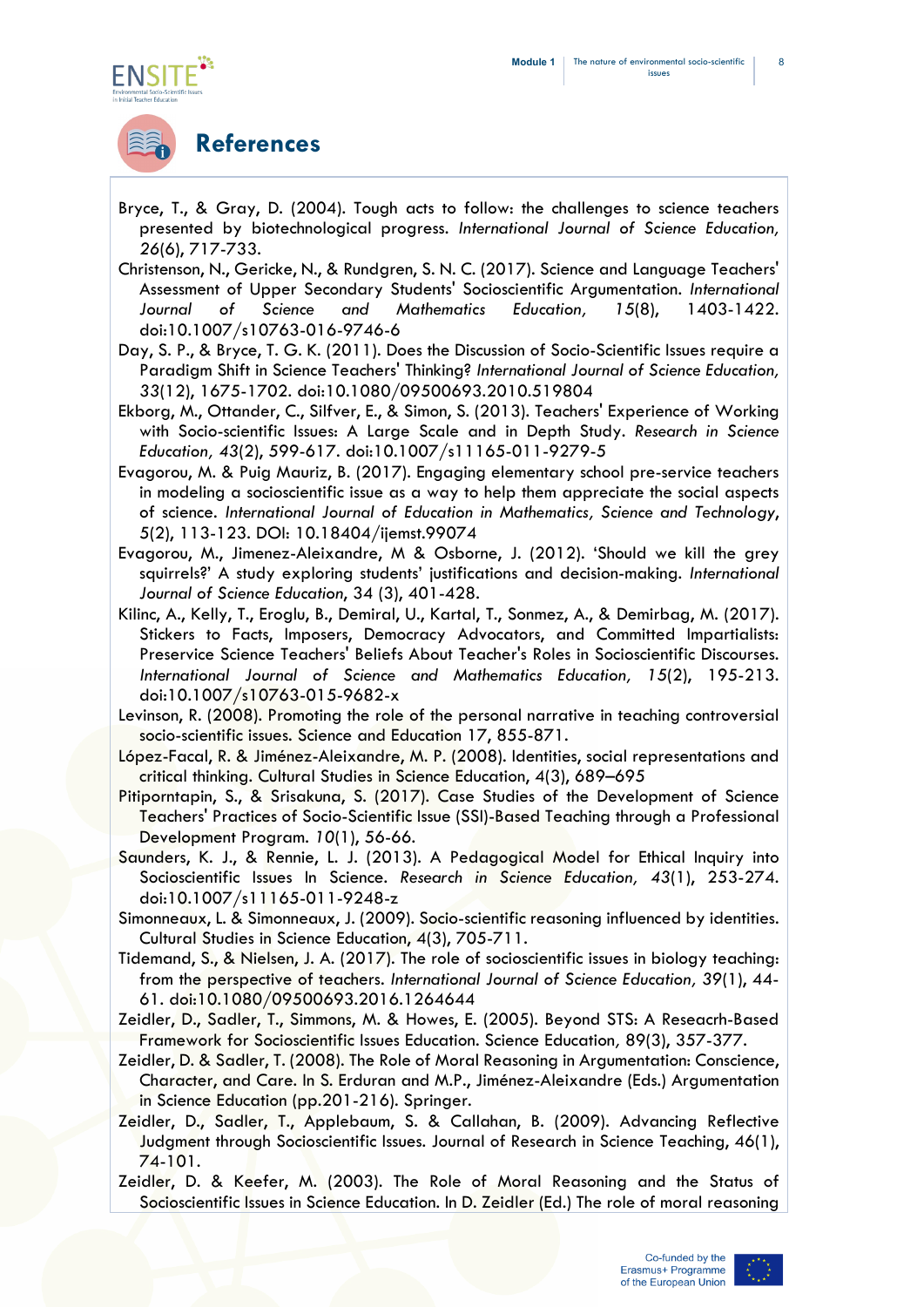

## **References**

- Bryce, T., & Gray, D. (2004). Tough acts to follow: the challenges to science teachers presented by biotechnological progress. *International Journal of Science Education, 26*(6), 717-733.
- Christenson, N., Gericke, N., & Rundgren, S. N. C. (2017). Science and Language Teachers' Assessment of Upper Secondary Students' Socioscientific Argumentation. *International Journal of Science and Mathematics Education, 15*(8), 1403-1422. doi:10.1007/s10763-016-9746-6
- Day, S. P., & Bryce, T. G. K. (2011). Does the Discussion of Socio-Scientific Issues require a Paradigm Shift in Science Teachers' Thinking? *International Journal of Science Education, 33*(12), 1675-1702. doi:10.1080/09500693.2010.519804
- Ekborg, M., Ottander, C., Silfver, E., & Simon, S. (2013). Teachers' Experience of Working with Socio-scientific Issues: A Large Scale and in Depth Study. *Research in Science Education, 43*(2), 599-617. doi:10.1007/s11165-011-9279-5
- Evagorou, M. & Puig Mauriz, B. (2017). Engaging elementary school pre-service teachers in modeling a socioscientific issue as a way to help them appreciate the social aspects of science. *International Journal of Education in Mathematics, Science and Technology*, 5(2), 113-123. DOI: 10.18404/ijemst.99074
- Evagorou, M., Jimenez-Aleixandre, M & Osborne, J. (2012). 'Should we kill the grey squirrels?' A study exploring students' justifications and decision-making. *International Journal of Science Education*, 34 (3), 401-428.
- Kilinc, A., Kelly, T., Eroglu, B., Demiral, U., Kartal, T., Sonmez, A., & Demirbag, M. (2017). Stickers to Facts, Imposers, Democracy Advocators, and Committed Impartialists: Preservice Science Teachers' Beliefs About Teacher's Roles in Socioscientific Discourses. *International Journal of Science and Mathematics Education, 15*(2), 195-213. doi:10.1007/s10763-015-9682-x
- Levinson, R. (2008). Promoting the role of the personal narrative in teaching controversial socio-scientific issues. Science and Education 17, 855-871.
- López-Facal, R. & Jiménez-Aleixandre, M. P. (2008). Identities, social representations and critical thinking. Cultural Studies in Science Education, 4(3), 689–695
- Pitiporntapin, S., & Srisakuna, S. (2017). Case Studies of the Development of Science Teachers' Practices of Socio-Scientific Issue (SSI)-Based Teaching through a Professional Development Program. *10*(1), 56-66.
- Saunders, K. J., & Rennie, L. J. (2013). A Pedagogical Model for Ethical Inquiry into Socioscientific Issues In Science. *Research in Science Education, 43*(1), 253-274. doi:10.1007/s11165-011-9248-z
- Simonneaux, L. & Simonneaux, J. (2009). Socio-scientific reasoning influenced by identities. Cultural Studies in Science Education, 4(3), 705-711.
- Tidemand, S., & Nielsen, J. A. (2017). The role of socioscientific issues in biology teaching: from the perspective of teachers. *International Journal of Science Education, 39*(1), 44- 61. doi:10.1080/09500693.2016.1264644
- Zeidler, D., Sadler, T., Simmons, M. & Howes, E. (2005). Beyond STS: A Reseacrh-Based Framework for Socioscientific Issues Education. Science Education*,* 89(3), 357-377.
- Zeidler, D. & Sadler, T. (2008). The Role of Moral Reasoning in Argumentation: Conscience, Character, and Care. In S. Erduran and M.P., Jiménez-Aleixandre (Eds.) Argumentation in Science Education (pp.201-216). Springer.
- Zeidler, D., Sadler, T., Applebaum, S. & Callahan, B. (2009). Advancing Reflective Judgment through Socioscientific Issues. Journal of Research in Science Teaching, 46(1), 74-101.
- Zeidler, D. & Keefer, M. (2003). The Role of Moral Reasoning and the Status of Socioscientific Issues in Science Education. In D. Zeidler (Ed.) The role of moral reasoning